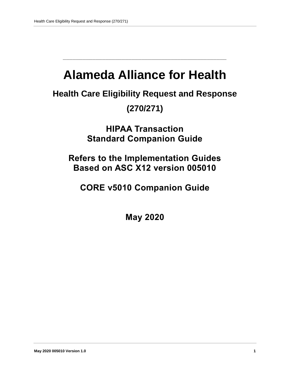# **Alameda Alliance for Health**

**\_\_\_\_\_\_\_\_\_\_\_\_\_\_\_\_\_\_\_\_\_\_\_\_\_\_\_\_\_\_\_\_\_\_\_\_\_\_\_\_\_\_\_\_\_\_\_\_\_\_**

**Health Care Eligibility Request and Response** 

# **(270/271)**

**HIPAA Transaction Standard Companion Guide**

**Refers to the Implementation Guides Based on ASC X12 version 005010**

**CORE v5010 Companion Guide**

**May 2020**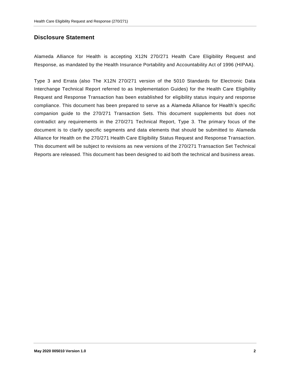### **Disclosure Statement**

Alameda Alliance for Health is accepting X12N 270/271 Health Care Eligibility Request and Response, as mandated by the Health Insurance Portability and Accountability Act of 1996 (HIPAA).

Type 3 and Errata (also The X12N 270/271 version of the 5010 Standards for Electronic Data Interchange Technical Report referred to as Implementation Guides) for the Health Care Eligibility Request and Response Transaction has been established for eligibility status inquiry and response compliance. This document has been prepared to serve as a Alameda Alliance for Health's specific companion guide to the 270/271 Transaction Sets. This document supplements but does not contradict any requirements in the 270/271 Technical Report, Type 3. The primary focus of the document is to clarify specific segments and data elements that should be submitted to Alameda Alliance for Health on the 270/271 Health Care Eligibility Status Request and Response Transaction. This document will be subject to revisions as new versions of the 270/271 Transaction Set Technical Reports are released. This document has been designed to aid both the technical and business areas.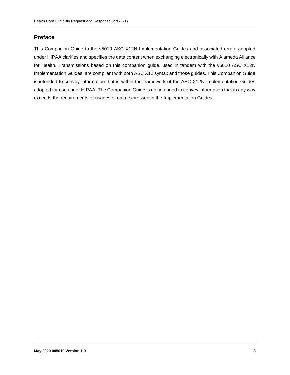#### **Preface**

This Companion Guide to the v5010 ASC X12N Implementation Guides and associated errata adopted under HIPAA clarifies and specifies the data content when exchanging electronically with Alameda Alliance for Health. Transmissions based on this companion guide, used in tandem with the v5010 ASC X12N Implementation Guides, are compliant with both ASC X12 syntax and those guides. This Companion Guide is intended to convey information that is within the framework of the ASC X12N Implementation Guides adopted for use under HIPAA. The Companion Guide is not intended to convey information that in any way exceeds the requirements or usages of data expressed in the Implementation Guides.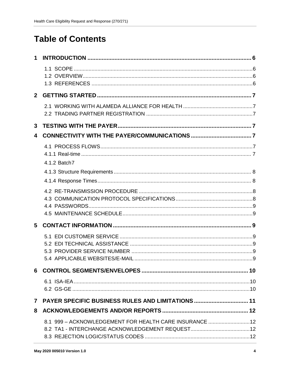# **Table of Contents**

| 2 <sup>7</sup> |                                                         |  |
|----------------|---------------------------------------------------------|--|
|                |                                                         |  |
| 3              |                                                         |  |
| 4              |                                                         |  |
|                |                                                         |  |
|                | 4.1.2 Batch7                                            |  |
|                |                                                         |  |
|                |                                                         |  |
|                |                                                         |  |
|                |                                                         |  |
|                |                                                         |  |
| 5              |                                                         |  |
|                |                                                         |  |
|                |                                                         |  |
|                |                                                         |  |
|                |                                                         |  |
|                |                                                         |  |
|                |                                                         |  |
|                |                                                         |  |
| $\mathbf{7}$   | PAYER SPECIFIC BUSINESS RULES AND LIMITATIONS  11       |  |
| 8              |                                                         |  |
|                | 8.1 999 - ACKNOWLEDGEMENT FOR HEALTH CARE INSURANCE  12 |  |
|                |                                                         |  |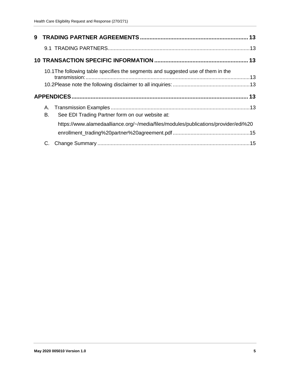|          | 10.1 The following table specifies the segments and suggested use of them in the   |  |
|----------|------------------------------------------------------------------------------------|--|
|          |                                                                                    |  |
|          |                                                                                    |  |
| A.<br>В. | See EDI Trading Partner form on our website at:                                    |  |
|          | https://www.alamedaalliance.org/~/media/files/modules/publications/provider/edi%20 |  |
|          |                                                                                    |  |
|          |                                                                                    |  |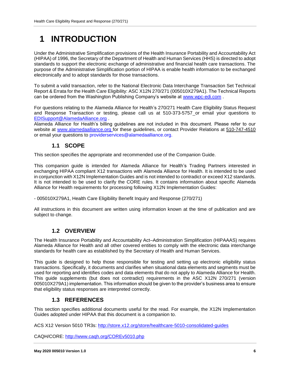# <span id="page-5-0"></span>**1 INTRODUCTION**

Under the Administrative Simplification provisions of the Health Insurance Portability and Accountability Act (HIPAA) of 1996, the Secretary of the Department of Health and Human Services (HHS) is directed to adopt standards to support the electronic exchange of administrative and financial health care transactions. The purpose of the Administrative Simplification portion of HIPAA is enable health information to be exchanged electronically and to adopt standards for those transactions.

To submit a valid transaction, refer to the National Electronic Data Interchange Transaction Set Technical Report & Errata for the Health Care Eligibility: ASC X12N 270/271 (005010X279A1). The Technical Reports can be ordered from the Washington Publishing Company's website at [www.wpc-edi.com](http://www.wpc-edi.com/) .

For questions relating to the Alameda Alliance for Health's 270/271 Health Care Eligibility Status Request and Response Transaction or testing, please call us at 510-373-5757 or email your questions to [EDISupport@AlamedaAlliance.org](mailto:EDISupport@AlamedaAlliance.org) .

Alameda Alliance for Health's billing guidelines are not included in this document. Please refer to our website at [www.alamedaalliance.org](http://www.alamedaalliance.org/) for these guidelines, or contact Provider Relations at 510-747-4510 or email your questions to providerservices@alamedaalliance.org.

### **1.1 SCOPE**

<span id="page-5-1"></span>This section specifies the appropriate and recommended use of the Companion Guide.

This companion guide is intended for Alameda Alliance for Health's Trading Partners interested in exchanging HIPAA compliant X12 transactions with Alameda Alliance for Health. It is intended to be used in conjunction with X12N Implementation Guides and is not intended to contradict or exceed X12 standards. It is not intended to be used to clarify the CORE rules. It contains information about specific Alameda Alliance for Health requirements for processing following X12N Implementation Guides:

- 005010X279A1, Health Care Eligibility Benefit Inquiry and Response (270/271)

All instructions in this document are written using information known at the time of publication and are subject to change.

### **1.2 OVERVIEW**

<span id="page-5-2"></span>The Health Insurance Portability and Accountability Act–Administration Simplification (HIPAAAS) requires Alameda Alliance for Health and all other covered entities to comply with the electronic data interchange standards for health care as established by the Secretary of Health and Human Services.

This guide is designed to help those responsible for testing and setting up electronic eligibility status transactions. Specifically, it documents and clarifies when situational data elements and segments must be used for reporting and identifies codes and data elements that do not apply to Alameda Alliance for Health. This guide supplements (but does not contradict) requirements in the ASC X12N 270/271 (version 005010X279A1) implementation. This information should be given to the provider's business area to ensure that eligibility status responses are interpreted correctly.

### **1.3 REFERENCES**

<span id="page-5-3"></span>This section specifies additional documents useful for the read. For example, the X12N Implementation Guides adopted under HIPAA that this document is a companion to.

ACS X12 Version 5010 TR3s:<http://store.x12.org/store/healthcare-5010-consolidated-guides>

CAQH/CORE:<http://www.caqh.org/COREv5010.php>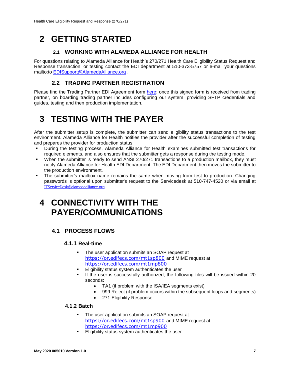# <span id="page-6-1"></span><span id="page-6-0"></span>**2 GETTING STARTED**

### **2.1 WORKING WITH ALAMEDA ALLIANCE FOR HEALTH**

For questions relating to Alameda Alliance for Health's 270/271 Health Care Eligibility Status Request and Response transaction, or testing contact the EDI department at 510-373-5757 or e-mail your questions mailto:to [EDISupport@AlamedaAlliance.org](mailto:EDISupport@AlamedaAlliance.org) .

### **2.2 TRADING PARTNER REGISTRATION**

<span id="page-6-2"></span>Please find the Trading Partner EDI Agreement form [here;](https://www.alamedaalliance.org/~/media/files/modules/publications/provider/edi%20enrollment_trading%20partner%20agreement.pdf) once this signed form is received from trading partner, on boarding trading partner includes configuring our system, providing SFTP credentials and guides, testing and then production implementation.

# <span id="page-6-3"></span>**3 TESTING WITH THE PAYER**

After the submitter setup is complete, the submitter can send eligibility status transactions to the test environment. Alameda Alliance for Health notifies the provider after the successful completion of testing and prepares the provider for production status.

- During the testing process, Alameda Alliance for Health examines submitted test transactions for required elements, and also ensures that the submitter gets a response during the testing mode.
- When the submitter is ready to send ANSI 270/271 transactions to a production mailbox, they must notify Alameda Alliance for Health EDI Department. The EDI Department then moves the submitter to the production environment.
- The submitter's mailbox name remains the same when moving from test to production. Changing passwords is optional upon submitter's request to the Servicedesk at 510-747-4520 or via email at [ITServiceDesk@alamedaalliance.org](mailto:ITServiceDesk@alamedaalliance.org).

# <span id="page-6-4"></span>**4 CONNECTIVITY WITH THE PAYER/COMMUNICATIONS**

### <span id="page-6-6"></span><span id="page-6-5"></span>**4.1 PROCESS FLOWS**

#### **4.1.1 Real-time**

- The user application submits an SOAP request at <https://or.edifecs.com/mt1sp800> and MIME request at <https://or.edifecs.com/mt1mp800>
- Eligibility status system authenticates the user
- If the user is successfully authorized, the following files will be issued within 20 seconds:
	- TA1 (if problem with the ISA/IEA segments exist)
	- 999 Reject (if problem occurs within the subsequent loops and segments)
	- 271 Eligibility Response

#### <span id="page-6-7"></span>**4.1.2 Batch**

- The user application submits an SOAP request at <https://or.edifecs.com/mt1sp900> and MIME request at <https://or.edifecs.com/mt1mp900>
- Eligibility status system authenticates the user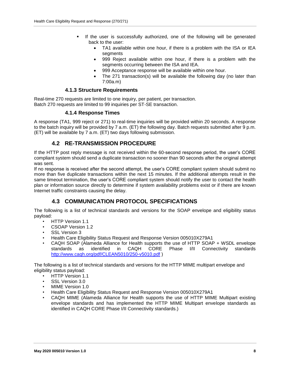- If the user is successfully authorized, one of the following will be generated back to the user:
	- TA1 available within one hour, if there is a problem with the ISA or IEA segments
	- 999 Reject available within one hour, if there is a problem with the segments occurring between the ISA and IEA.
	- 999 Acceptance response will be available within one hour.
	- The 271 transaction(s) will be available the following day (no later than 7:00a.m)

#### **4.1.3 Structure Requirements**

<span id="page-7-1"></span><span id="page-7-0"></span>Real-time 270 requests are limited to one inquiry, per patient, per transaction. Batch 270 requests are limited to 99 inquiries per ST-SE transaction.

#### **4.1.4 Response Times**

A response (TA1, 999 reject or 271) to real-time inquiries will be provided within 20 seconds. A response to the batch inquiry will be provided by 7 a.m. (ET) the following day. Batch requests submitted after 9 p.m. (ET) will be available by 7 a.m. (ET) two days following submission.

#### **4.2 RE-TRANSMISSION PROCEDURE**

<span id="page-7-2"></span>If the HTTP post reply message is not received within the 60-second response period, the user's CORE compliant system should send a duplicate transaction no sooner than 90 seconds after the original attempt was sent.

If no response is received after the second attempt, the user's CORE compliant system should submit no more than five duplicate transactions within the next 15 minutes. If the additional attempts result in the same timeout termination, the user's CORE compliant system should notify the user to contact the health plan or information source directly to determine if system availability problems exist or if there are known Internet traffic constraints causing the delay.

### **4.3 COMMUNICATION PROTOCOL SPECIFICATIONS**

<span id="page-7-3"></span>The following is a list of technical standards and versions for the SOAP envelope and eligibility status payload:

- HTTP Version 1.1
- CSOAP Version 1.2
- SSL Version 3
- Health Care Eligibility Status Request and Response Version 005010X279A1
- CAQH SOAP (Alameda Alliance for Health supports the use of HTTP SOAP + WSDL envelope standards as identified in CAQH CORE Phase I/II Connectivity standards <http://www.caqh.org/pdf/CLEAN5010/250-v5010.pdf> )

The following is a list of technical standards and versions for the HTTP MIME multipart envelope and eligibility status payload:

- **HTTP Version 1.1**
- SSL Version 3.0
- MIME Version 1.0
- Health Care Eligibility Status Request and Response Version 005010X279A1
- CAQH MIME (Alameda Alliance for Health supports the use of HTTP MIME Multipart existing envelope standards and has implemented the HTTP MIME Multipart envelope standards as identified in CAQH CORE Phase I/II Connectivity standards.)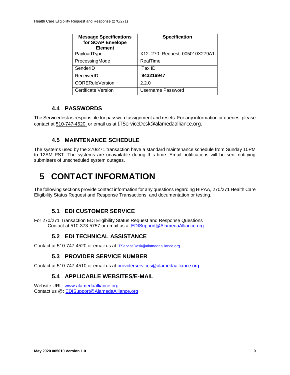| <b>Message Specifications</b><br>for SOAP Envelope<br><b>Element</b> | <b>Specification</b>         |
|----------------------------------------------------------------------|------------------------------|
| PayloadType                                                          | X12_270_Request_005010X279A1 |
| ProcessingMode                                                       | RealTime                     |
| SenderID                                                             | Tax ID                       |
| ReceiverID                                                           | 943216947                    |
| <b>CORERuleVersion</b>                                               | 2.2.0                        |
| Certificate Version                                                  | Username Password            |

### **4.4 PASSWORDS**

<span id="page-8-0"></span>The Servicedesk is responsible for password assignment and resets. For any information or queries, please contact at 510-747-4520 or email us at [ITServiceDesk@alamedaalliance.org](mailto:ITServiceDesk@alamedaalliance.org).

### **4.5 MAINTENANCE SCHEDULE**

<span id="page-8-1"></span>The systems used by the 270/271 transaction have a standard maintenance schedule from Sunday 10PM to 12AM PST. The systems are unavailable during this time. Email notifications will be sent notifying submitters of unscheduled system outages.

# <span id="page-8-2"></span>**5 CONTACT INFORMATION**

The following sections provide contact information for any questions regarding HIPAA, 270/271 Health Care Eligibility Status Request and Response Transactions, and documentation or testing.

### **5.1 EDI CUSTOMER SERVICE**

<span id="page-8-4"></span><span id="page-8-3"></span>For 270/271 Transaction EDI Eligibility Status Request and Response Questions Contact at 510-373-5757 or email us at [EDISupport@AlamedaAlliance.org](mailto:EDISupport@AlamedaAlliance.org)

### **5.2 EDI TECHNICAL ASSISTANCE**

<span id="page-8-5"></span>Contact at 510-747-4520 or email us at [ITServiceDesk@alamedaalliance.org](mailto:ITServiceDesk@alamedaalliance.org)

### **5.3 PROVIDER SERVICE NUMBER**

<span id="page-8-6"></span>Contact at 510-747-4510 or email us at [providerservices@alamedaalliance.org](mailto:providerservices@alamedaalliance.org)

### **5.4 APPLICABLE WEBSITES/E-MAIL**

Website URL: [www.alamedaalliance.org](http://www.alamedaalliance.org/) Contact us @: [EDISupport@AlamedaAlliance.org](mailto:EDISupport@AlamedaAlliance.org)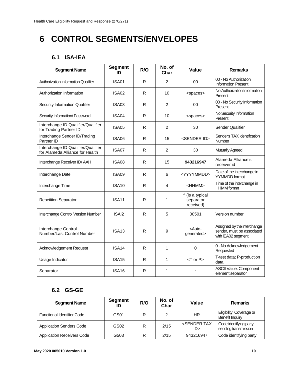# <span id="page-9-0"></span>**6 CONTROL SEGMENTS/ENVELOPES**

### **6.1 ISA-IEA**

<span id="page-9-1"></span>

| <b>Segment Name</b>                                                   | <b>Segment</b><br>ID | R/O | No. of<br>Char | Value                                     | <b>Remarks</b>                                                                  |
|-----------------------------------------------------------------------|----------------------|-----|----------------|-------------------------------------------|---------------------------------------------------------------------------------|
| <b>Authorization Information Qualifier</b>                            | <b>ISA01</b>         | R   | $\overline{2}$ | 00                                        | 00 - No Authorization<br><b>Information Present</b>                             |
| Authorization Information                                             | ISA02                | R   | 10             | <spaces></spaces>                         | No Authorization Information<br>Present                                         |
| Security Information Qualifier                                        | ISA03                | R   | $\overline{2}$ | 00                                        | 00 - No Security Information<br>Present                                         |
| Security Information/ Password                                        | ISA04                | R   | 10             | <spaces></spaces>                         | No Security Information<br>Present                                              |
| Interchange ID Qualifier/Qualifier<br>for Trading Partner ID          | <b>ISA05</b>         | R   | 2              | 30                                        | Sender Qualifier                                                                |
| Interchange Sender ID/Trading<br>Partner ID                           | <b>ISA06</b>         | R   | 15             | <sender id=""></sender>                   | Sender's TAX Identification<br>Number                                           |
| Interchange ID Qualifier/Qualifier<br>for Alameda Alliance for Health | ISA07                | R   | 2              | 30                                        | Mutually Agreed                                                                 |
| Interchange Receiver ID/AAH                                           | <b>ISA08</b>         | R   | 15             | 943216947                                 | Alameda Alliance's<br>receiver id                                               |
| Interchange Date                                                      | ISA09                | R   | 6              | <yyyymmdd></yyyymmdd>                     | Date of the interchange in<br><b>YYMMDD</b> format                              |
| Interchange Time                                                      | ISA <sub>10</sub>    | R   | 4              | <hhmm></hhmm>                             | Time of the interchange in<br><b>HHMM</b> format                                |
| <b>Repetition Separator</b>                                           | ISA <sub>11</sub>    | R   | 1              | ^ (is a typical<br>separator<br>received) |                                                                                 |
| Interchange Control Version Number                                    | ISAI <sub>2</sub>    | R   | 5              | 00501                                     | Version number                                                                  |
| Interchange Control<br>Number/Last Control Number                     | ISA <sub>13</sub>    | R   | 9              | <auto-<br>generated&gt;</auto-<br>        | Assigned by the interchange<br>sender, must be associated<br>with IEA02 segment |
| Acknowledgement Request                                               | ISA <sub>14</sub>    | R   | 1              | 0                                         | 0 - No Acknowledgement<br>Requested                                             |
| Usage Indicator                                                       | ISA <sub>15</sub>    | R   | 1              | $<$ T or P $>$                            | T-test data; P-production<br>data                                               |
| Separator                                                             | <b>ISA16</b>         | R   | 1              |                                           | ASCII Value. Component<br>element separator                                     |

### **6.2 GS-GE**

<span id="page-9-2"></span>

| <b>Segment Name</b>               | <b>Segment</b><br>ID | R/O | No. of<br>Char | Value                             | <b>Remarks</b>                                 |
|-----------------------------------|----------------------|-----|----------------|-----------------------------------|------------------------------------------------|
| <b>Functional Identifier Code</b> | GS01                 | R   |                | <b>HR</b>                         | Eligibility, Coverage or<br>Benefit Inquiry    |
| <b>Application Senders Code</b>   | GS02                 | R   | 2/15           | <sender tax<br="">ID&gt;</sender> | Code identifying party<br>sending transmission |
| <b>Application Receivers Code</b> | G503                 | R   | 2/15           | 943216947                         | Code identifying party                         |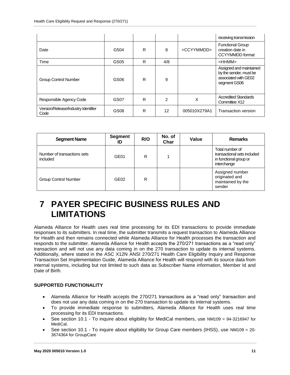|                                             |                  |   |                |                       | receiving transmission                                                                    |
|---------------------------------------------|------------------|---|----------------|-----------------------|-------------------------------------------------------------------------------------------|
| Date                                        | G504             | R | 8              | <ccyymmdd></ccyymmdd> | <b>Functional Group</b><br>creation date in<br>CCYYMMDD format                            |
| Time                                        | GS <sub>05</sub> | R | 4/8            |                       | $<$ HHMM $>$                                                                              |
| <b>Group Control Number</b>                 | GS06             | R | 9              |                       | Assigned and maintained<br>by the sender, must be<br>associated with GE02<br>segment GS06 |
| Responsible Agency Code                     | GS07             | R | $\overline{2}$ | X                     | <b>Accredited Standards</b><br>Committee X12                                              |
| Version/Release/Industry Identifier<br>Code | GS08             | R | 12             | 005010X279A1          | Transaction version                                                                       |

| <b>Segment Name</b>                     | Segment<br>ID    | R/O | No. of<br>Char | Value | <b>Remarks</b>                                                                          |
|-----------------------------------------|------------------|-----|----------------|-------|-----------------------------------------------------------------------------------------|
| Number of transactions sets<br>included | GE01             | R   |                |       | Total number of<br>transactional sets included<br>in functional group or<br>interchange |
| <b>Group Control Number</b>             | GE <sub>02</sub> | R   |                |       | Assigned number<br>originated and<br>maintained by the<br>sender                        |

# <span id="page-10-0"></span>**7 PAYER SPECIFIC BUSINESS RULES AND LIMITATIONS**

Alameda Alliance for Health uses real time processing for its EDI transactions to provide immediate responses to its submitters. In real time, the submitter transmits a request transaction to Alameda Alliance for Health and then remains connected while Alameda Alliance for Health processes the transaction and responds to the submitter. Alameda Alliance for Health accepts the 270/271 transactions as a "read only" transaction and will not use any data coming in on the 270 transaction to update its internal systems. Additionally, where stated in the ASC X12N ANSI 270/271 Health Care Eligibility Inquiry and Response Transaction Set Implementation Guide, Alameda Alliance for Health will respond with its source data from internal systems, including but not limited to such data as Subscriber Name information, Member Id and Date of Birth.

#### **SUPPORTED FUNCTIONALITY**

- Alameda Alliance for Health accepts the 270/271 transactions as a "read only" transaction and does not use any data coming in on the 270 transaction to update its internal systems.
- To provide immediate response to submitters, Alameda Alliance for Health uses real time processing for its EDI transactions.
- See section 10.1 To inquire about eligibility for MediCal members, use NM109 = 94-3216947 for MediCal.
- See section 10.1 To inquire about eligibility for Group Care members (IHSS), use NM109 = 20-3674364 for GroupCare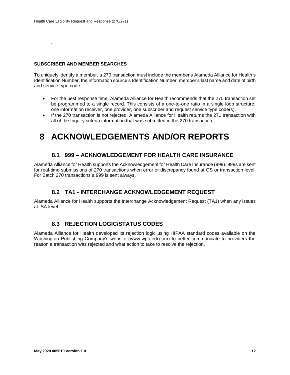#### **SUBSCRIBER AND MEMBER SEARCHES**

.

To uniquely identify a member, a 270 transaction must include the member's Alameda Alliance for Health's Identification Number, the information source's Identification Number, member's last name and date of birth and service type code.

- For the best response time, Alameda Alliance for Health recommends that the 270 transaction set be programmed to a single record. This consists of a one-to-one ratio in a single loop structure: one information receiver, one provider, one subscriber and request service type code(s).
- If the 270 transaction is not rejected, Alameda Alliance for Health returns the 271 transaction with all of the Inquiry criteria information that was submitted in the 270 transaction.

## <span id="page-11-0"></span>**8 ACKNOWLEDGEMENTS AND/OR REPORTS**

#### **8.1 999 – ACKNOWLEDGEMENT FOR HEALTH CARE INSURANCE**

<span id="page-11-1"></span>Alameda Alliance for Health supports the Acknowledgement for Health Care Insurance (999). 999s are sent for real-time submissions of 270 transactions when error or discrepancy found at GS or transaction level. For Batch 270 transactions a 999 is sent always.

#### **8.2 TA1 - INTERCHANGE ACKNOWLEDGEMENT REQUEST**

<span id="page-11-2"></span>Alameda Alliance for Health supports the Interchange Acknowledgement Request (TA1) when any issues at ISA level.

#### **8.3 REJECTION LOGIC/STATUS CODES**

<span id="page-11-3"></span>Alameda Alliance for Health developed its rejection logic using HIPAA standard codes available on the Washington Publishing Company's website (www.wpc-edi.com) to better communicate to providers the reason a transaction was rejected and what action to take to resolve the rejection.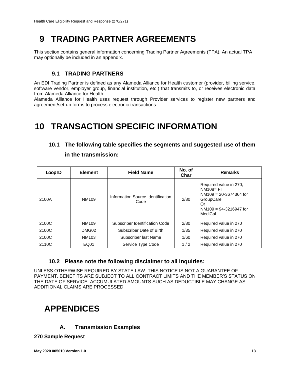# <span id="page-12-0"></span>**9 TRADING PARTNER AGREEMENTS**

This section contains general information concerning Trading Partner Agreements (TPA). An actual TPA may optionally be included in an appendix.

### **9.1 TRADING PARTNERS**

<span id="page-12-1"></span>An EDI Trading Partner is defined as any Alameda Alliance for Health customer (provider, billing service, software vendor, employer group, financial institution, etc.) that transmits to, or receives electronic data from Alameda Alliance for Health.

Alameda Alliance for Health uses request through Provider services to register new partners and agreement/set-up forms to process electronic transactions.

# <span id="page-12-3"></span><span id="page-12-2"></span>**10 TRANSACTION SPECIFIC INFORMATION**

### **10.1 The following table specifies the segments and suggested use of them**

#### **in the transmission:**

| <b>Element</b><br>Loop ID                        |       | <b>Field Name</b>                         | No. of<br>Char        | <b>Remarks</b>                                                                                                                |
|--------------------------------------------------|-------|-------------------------------------------|-----------------------|-------------------------------------------------------------------------------------------------------------------------------|
| 2100A                                            | NM109 | Information Source Identification<br>Code | 2/80                  | Required value in 270;<br>$NM108 = FI$<br>$NM109 = 20-3674364$ for<br>GroupCare<br>Or<br>$NM109 = 94-3216947$ for<br>MediCal. |
| 2100C<br>Subscriber Identification Code<br>NM109 |       | 2/80                                      | Required value in 270 |                                                                                                                               |
| 2100C                                            | DMG02 | Subscriber Date of Birth                  | 1/35                  | Required value in 270                                                                                                         |
| 2100C<br>NM103                                   |       | Subscriber last Name                      | 1/60                  | Required value in 270                                                                                                         |
| 2110C<br>EQ01                                    |       | Service Type Code                         | 1/2                   | Required value in 270                                                                                                         |

#### **10.2 Please note the following disclaimer to all inquiries:**

<span id="page-12-4"></span>UNLESS OTHERWISE REQUIRED BY STATE LAW, THIS NOTICE IS NOT A GUARANTEE OF PAYMENT. BENEFITS ARE SUBJECT TO ALL CONTRACT LIMITS AND THE MEMBER'S STATUS ON THE DATE OF SERVICE. ACCUMULATED AMOUNTS SUCH AS DEDUCTIBLE MAY CHANGE AS ADDITIONAL CLAIMS ARE PROCESSED.

# <span id="page-12-5"></span>**APPENDICES**

### **A. Transmission Examples**

<span id="page-12-6"></span>**270 Sample Request**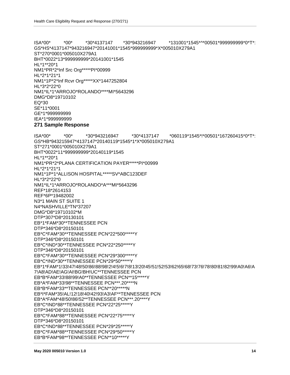ISA\*00\* \*00\* \*30\*943216947 \*30\*4137147 \*060119\*1545\*!\*00501\*167260415\*0\*T\*: GS\*HB\*943215947\*4137147\*20140119\*1545\*1\*X\*005010X279A1 ST\*271\*0001\*005010X279A1 BHT\*0022\*11\*999999999\*20140119\*1545 HL\*1\*\*20\*1 NM1\*PR\*2\*PLANA CERTIFICATION PAYER\*\*\*\*\*PI\*00999 HL\*2\*1\*21\*1 NM1\*1P\*1\*ALLISON HOSPITAL\*\*\*\*\*SV\*ABC123DEF HL\*3\*2\*22\*0 NM1\*IL\*1\*ARROJO\*ROLANDO\*A\*\*\*MI\*5643296 REF\*18\*2614153 REF\*6P\*19482002 N3\*1 MAIN ST SUITE 1 N4\*NASHVILLE\*TN\*37207 DMG\*D8\*19710102\*M DTP\*307\*D8\*20130101 EB\*1\*FAM\*30\*\*TENNESSEE PCN DTP\*346\*D8\*20150101 EB\*C\*FAM\*30\*\*TENNESSEE PCN\*22\*500\*\*\*\*\*Y DTP\*346\*D8\*20150101 EB\*C\*IND\*30\*\*TENNESSEE PCN\*22\*250\*\*\*\*\*Y DTP\*346\*D8\*20150101 EB\*C\*FAM\*30\*\*TENNESSEE PCN\*29\*300\*\*\*\*\*Y EB\*C\*IND\*30\*\*TENNESSEE PCN\*29\*50\*\*\*\*\*Y EB\*1\*FAM\*1!33!47!48!50!86!88!98!2!4!5!6!7!8!13!20!45!51!52!53!62!65!68!73!76!78!80!81!82!99!A0!A6!A 7!A8!AD!AE!AG!AI!BG!BH!UC\*\*TENNESSEE PCN EB\*B\*FAM\*33!88!99!A0\*\*TENNESSEE PCN\*\*15\*\*\*\*\*Y EB\*A\*FAM\*33!98\*\*TENNESSEE PCN\*\*\*.20\*\*\*\*N EB\*B\*FAM\*33\*\*TENNESSEE PCN\*\*20\*\*\*\*\*N EB\*I\*FAM\*35!AL!12!18!40!42!93!A3!AF\*\*TENNESSEE PCN EB\*A\*FAM\*48!50!86!52\*\*TENNESSEE PCN\*\*\*.20\*\*\*\*Y EB\*C\*IND\*88\*\*TENNESSEE PCN\*22\*25\*\*\*\*\*Y DTP\*346\*D8\*20150101 EB\*C\*FAM\*88\*\*TENNESSEE PCN\*22\*75\*\*\*\*\*Y DTP\*346\*D8\*20150101 EB\*C\*IND\*88\*\*TENNESSEE PCN\*29\*25\*\*\*\*\*Y EB\*C\*FAM\*88\*\*TENNESSEE PCN\*29\*50\*\*\*\*\*Y EB\*B\*FAM\*98\*\*TENNESSEE PCN\*\*10\*\*\*\*\*Y

#### **271 Sample Response**

ISA\*00\* \*00\* \*30\*4137147 \*30\*943216947 \*131001\*1545\*^\*00501\*999999999\*0\*T\*: GS\*HS\*4137147\*943216947\*20141001\*1545\*999999999\*X\*005010X279A1 ST\*270\*0001\*005010X279A1 BHT\*0022\*13\*999999999\*20141001\*1545 HL\*1\*\*20\*1 NM1\*PR\*2\*Inf Src Org\*\*\*\*\*PI\*00999 HL\*2\*1\*21\*1 NM1\*1P\*2\*Inf Rcvr Org\*\*\*\*\*XX\*1447252804 HL\*3\*2\*22\*0 NM1\*IL\*1\*ARROJO\*ROLANDO\*\*\*\*MI\*5643296 DMG\*D8\*19710102 EQ\*30 SE\*11\*0001 GE\*1\*999999999 IEA\*1\*999999999